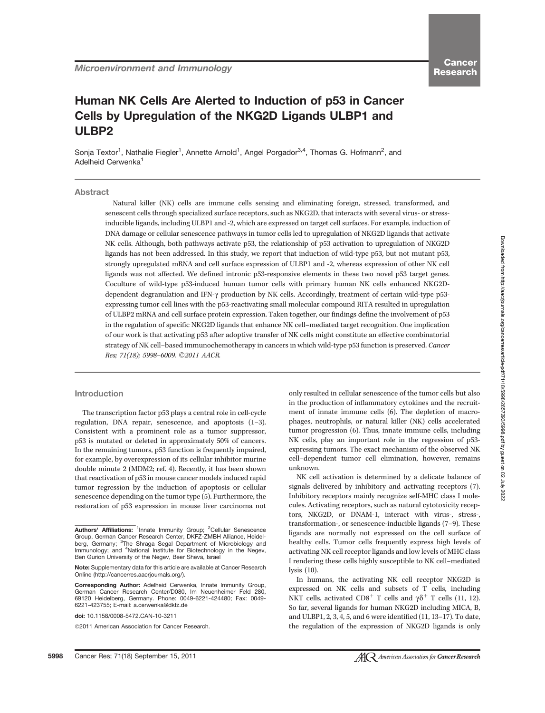# Cancer **Research**

# Human NK Cells Are Alerted to Induction of p53 in Cancer Cells by Upregulation of the NKG2D Ligands ULBP1 and ULBP2

Sonja Textor<sup>1</sup>, Nathalie Fiegler<sup>1</sup>, Annette Arnold<sup>1</sup>, Angel Porgador<sup>3,4</sup>, Thomas G. Hofmann<sup>2</sup>, and Adelheid Cerwenka<sup>1</sup>

# Abstract

Natural killer (NK) cells are immune cells sensing and eliminating foreign, stressed, transformed, and senescent cells through specialized surface receptors, such as NKG2D, that interacts with several virus- or stressinducible ligands, including ULBP1 and -2, which are expressed on target cell surfaces. For example, induction of DNA damage or cellular senescence pathways in tumor cells led to upregulation of NKG2D ligands that activate NK cells. Although, both pathways activate p53, the relationship of p53 activation to upregulation of NKG2D ligands has not been addressed. In this study, we report that induction of wild-type p53, but not mutant p53, strongly upregulated mRNA and cell surface expression of ULBP1 and -2, whereas expression of other NK cell ligands was not affected. We defined intronic p53-responsive elements in these two novel p53 target genes. Coculture of wild-type p53-induced human tumor cells with primary human NK cells enhanced NKG2Ddependent degranulation and IFN- $\gamma$  production by NK cells. Accordingly, treatment of certain wild-type p53expressing tumor cell lines with the p53-reactivating small molecular compound RITA resulted in upregulation of ULBP2 mRNA and cell surface protein expression. Taken together, our findings define the involvement of p53 in the regulation of specific NKG2D ligands that enhance NK cell–mediated target recognition. One implication of our work is that activating p53 after adoptive transfer of NK cells might constitute an effective combinatorial strategy of NK cell–based immunochemotherapy in cancers in which wild-type p53 function is preserved. Cancer Res; 71(18); 5998-6009. ©2011 AACR.

#### Introduction

The transcription factor p53 plays a central role in cell-cycle regulation, DNA repair, senescence, and apoptosis (1–3). Consistent with a prominent role as a tumor suppressor, p53 is mutated or deleted in approximately 50% of cancers. In the remaining tumors, p53 function is frequently impaired, for example, by overexpression of its cellular inhibitor murine double minute 2 (MDM2; ref. 4). Recently, it has been shown that reactivation of p53 in mouse cancer models induced rapid tumor regression by the induction of apoptosis or cellular senescence depending on the tumor type (5). Furthermore, the restoration of p53 expression in mouse liver carcinoma not

doi: 10.1158/0008-5472.CAN-10-3211

©2011 American Association for Cancer Research.

only resulted in cellular senescence of the tumor cells but also in the production of inflammatory cytokines and the recruitment of innate immune cells (6). The depletion of macrophages, neutrophils, or natural killer (NK) cells accelerated tumor progression (6). Thus, innate immune cells, including NK cells, play an important role in the regression of p53 expressing tumors. The exact mechanism of the observed NK cell–dependent tumor cell elimination, however, remains unknown.

NK cell activation is determined by a delicate balance of signals delivered by inhibitory and activating receptors (7). Inhibitory receptors mainly recognize self-MHC class I molecules. Activating receptors, such as natural cytotoxicity receptors, NKG2D, or DNAM-1, interact with virus-, stress-, transformation-, or senescence-inducible ligands (7–9). These ligands are normally not expressed on the cell surface of healthy cells. Tumor cells frequently express high levels of activating NK cell receptor ligands and low levels of MHC class I rendering these cells highly susceptible to NK cell–mediated lysis (10).

In humans, the activating NK cell receptor NKG2D is expressed on NK cells and subsets of T cells, including NKT cells, activated CD8<sup>+</sup> T cells and  $\gamma \delta$ <sup>+</sup> T cells (11, 12). So far, several ligands for human NKG2D including MICA, B, and ULBP1, 2, 3, 4, 5, and 6 were identified (11, 13–17). To date, the regulation of the expression of NKG2D ligands is only

Authors' Affiliations: <sup>1</sup>Innate Immunity Group; <sup>2</sup>Cellular Senescence Group, German Cancer Research Center, DKFZ-ZMBH Alliance, Heidelberg, Germany; <sup>3</sup>The Shraga Segal Department of Microbiology and Immunology; and <sup>4</sup>National Institute for Biotechnology in the Negev, Ben Gurion University of the Negev, Beer Sheva, Israel

Note: Supplementary data for this article are available at Cancer Research Online (http://cancerres.aacrjournals.org/).

Corresponding Author: Adelheid Cerwenka, Innate Immunity Group, German Cancer Research Center/D080, Im Neuenheimer Feld 280, 69120 Heidelberg, Germany. Phone: 0049-6221-424480; Fax: 0049- 6221-423755; E-mail: a.cerwenka@dkfz.de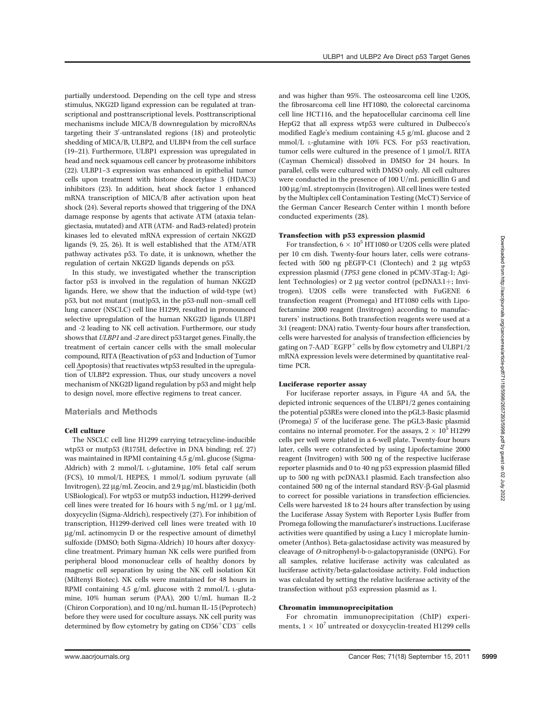partially understood. Depending on the cell type and stress stimulus, NKG2D ligand expression can be regulated at transcriptional and posttranscriptional levels. Posttranscriptional mechanisms include MICA/B downregulation by microRNAs targeting their 3'-untranslated regions (18) and proteolytic shedding of MICA/B, ULBP2, and ULBP4 from the cell surface (19–21). Furthermore, ULBP1 expression was upregulated in head and neck squamous cell cancer by proteasome inhibitors (22). ULBP1–3 expression was enhanced in epithelial tumor cells upon treatment with histone deacetylase 3 (HDAC3) inhibitors (23). In addition, heat shock factor 1 enhanced mRNA transcription of MICA/B after activation upon heat shock (24). Several reports showed that triggering of the DNA damage response by agents that activate ATM (ataxia telangiectasia, mutated) and ATR (ATM- and Rad3-related) protein kinases led to elevated mRNA expression of certain NKG2D ligands (9, 25, 26). It is well established that the ATM/ATR pathway activates p53. To date, it is unknown, whether the regulation of certain NKG2D ligands depends on p53.

In this study, we investigated whether the transcription factor p53 is involved in the regulation of human NKG2D ligands. Here, we show that the induction of wild-type (wt) p53, but not mutant (mut)p53, in the p53-null non–small cell lung cancer (NSCLC) cell line H1299, resulted in pronounced selective upregulation of the human NKG2D ligands ULBP1 and -2 leading to NK cell activation. Furthermore, our study shows that ULBP1 and -2 are direct p53 target genes. Finally, the treatment of certain cancer cells with the small molecular compound, RITA (Reactivation of p53 and Induction of Tumor cell Apoptosis) that reactivates wtp53 resulted in the upregulation of ULBP2 expression. Thus, our study uncovers a novel mechanism of NKG2D ligand regulation by p53 and might help to design novel, more effective regimens to treat cancer.

#### Materials and Methods

#### Cell culture

The NSCLC cell line H1299 carrying tetracycline-inducible wtp53 or mutp53 (R175H, defective in DNA binding; ref. 27) was maintained in RPMI containing 4.5 g/mL glucose (Sigma-Aldrich) with 2 mmol/L L-glutamine, 10% fetal calf serum (FCS), 10 mmol/L HEPES, 1 mmol/L sodium pyruvate (all Invitrogen),  $22 \mu g/mL$  Zeocin, and  $2.9 \mu g/mL$  blasticidin (both USBiological). For wtp53 or mutp53 induction, H1299-derived cell lines were treated for 16 hours with 5 ng/mL or 1  $\mu$ g/mL doxycyclin (Sigma-Aldrich), respectively (27). For inhibition of transcription, H1299-derived cell lines were treated with 10  $\mu$ g/mL actinomycin D or the respective amount of dimethyl sulfoxide (DMSO; both Sigma-Aldrich) 10 hours after doxycycline treatment. Primary human NK cells were purified from peripheral blood mononuclear cells of healthy donors by magnetic cell separation by using the NK cell isolation Kit (Miltenyi Biotec). NK cells were maintained for 48 hours in RPMI containing 4.5 g/mL glucose with 2 mmol/L L-glutamine, 10% human serum (PAA), 200 U/mL human IL-2 (Chiron Corporation), and 10 ng/mL human IL-15 (Peprotech) before they were used for coculture assays. NK cell purity was determined by flow cytometry by gating on  $CD56<sup>+</sup>CD3<sup>-</sup>$  cells

and was higher than 95%. The osteosarcoma cell line U2OS, the fibrosarcoma cell line HT1080, the colorectal carcinoma cell line HCT116, and the hepatocellular carcinoma cell line HepG2 that all express wtp53 were cultured in Dulbecco's modified Eagle's medium containing 4.5 g/mL glucose and 2 mmol/L L-glutamine with 10% FCS. For p53 reactivation, tumor cells were cultured in the presence of  $1 \mu$ mol/L RITA (Cayman Chemical) dissolved in DMSO for 24 hours. In parallel, cells were cultured with DMSO only. All cell cultures were conducted in the presence of 100 U/mL penicillin G and 100 mg/mL streptomycin (Invitrogen). All cell lines were tested by the Multiplex cell Contamination Testing (McCT) Service of the German Cancer Research Center within 1 month before conducted experiments (28).

# Transfection with p53 expression plasmid

For transfection,  $6 \times 10^5$  HT1080 or U2OS cells were plated per 10 cm dish. Twenty-four hours later, cells were cotransfected with 500 ng pEGFP-C1 (Clontech) and 2  $\mu$ g wtp53 expression plasmid (TP53 gene cloned in pCMV-3Tag-1; Agilent Technologies) or 2  $\mu$ g vector control (pcDNA3.1+; Invitrogen). U2OS cells were transfected with FuGENE 6 transfection reagent (Promega) and HT1080 cells with Lipofectamine 2000 reagent (Invitrogen) according to manufacturers' instructions. Both transfection reagents were used at a 3:1 (reagent: DNA) ratio. Twenty-four hours after transfection, cells were harvested for analysis of transfection efficiencies by gating on  $7$ -AAD $^-\mathrm{EGFP}^+$  cells by flow cytometry and ULBP1/2 mRNA expression levels were determined by quantitative realtime PCR.

#### Luciferase reporter assay

For luciferase reporter assays, in Figure 4A and 5A, the depicted intronic sequences of the ULBP1/2 genes containing the potential p53REs were cloned into the pGL3-Basic plasmid (Promega)  $5'$  of the luciferase gene. The pGL3-Basic plasmid contains no internal promoter. For the assays,  $2 \times 10^5$  H1299 cells per well were plated in a 6-well plate. Twenty-four hours later, cells were cotransfected by using Lipofectamine 2000 reagent (Invitrogen) with 500 ng of the respective luciferase reporter plasmids and 0 to 40 ng p53 expression plasmid filled up to 500 ng with pcDNA3.1 plasmid. Each transfection also contained 500 ng of the internal standard RSV-b-Gal plasmid to correct for possible variations in transfection efficiencies. Cells were harvested 18 to 24 hours after transfection by using the Luciferase Assay System with Reporter Lysis Buffer from Promega following the manufacturer's instructions. Luciferase activities were quantified by using a Lucy 1 microplate luminometer (Anthos). Beta-galactosidase activity was measured by cleavage of O-nitrophenyl-b-D-galactopyraniside (ONPG). For all samples, relative luciferase activity was calculated as luciferase activity/beta-galactosidase activity. Fold induction was calculated by setting the relative luciferase activity of the transfection without p53 expression plasmid as 1.

## Chromatin immunoprecipitation

For chromatin immunoprecipitation (ChIP) experiments,  $1\times 10^7$  untreated or doxycyclin-treated H1299 cells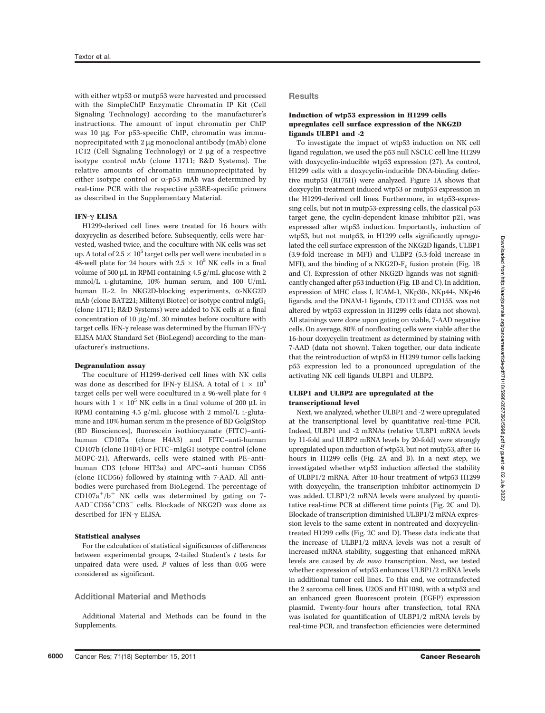with either wtp53 or mutp53 were harvested and processed with the SimpleChIP Enzymatic Chromatin IP Kit (Cell Signaling Technology) according to the manufacturer's instructions. The amount of input chromatin per ChIP was 10 µg. For p53-specific ChIP, chromatin was immunoprecipitated with  $2 \mu$ g monoclonal antibody (mAb) clone 1C12 (Cell Signaling Technology) or 2 µg of a respective isotype control mAb (clone 11711; R&D Systems). The relative amounts of chromatin immunoprecipitated by either isotype control or  $\alpha$ -p53 mAb was determined by real-time PCR with the respective p53RE-specific primers as described in the Supplementary Material.

## IFN-g ELISA

H1299-derived cell lines were treated for 16 hours with doxycyclin as described before. Subsequently, cells were harvested, washed twice, and the coculture with NK cells was set up. A total of 2.5  $\times$  10<sup>5</sup> target cells per well were incubated in a 48-well plate for 24 hours with  $2.5 \times 10^5$  NK cells in a final volume of 500  $\mu$ L in RPMI containing 4.5 g/mL glucose with 2 mmol/L L-glutamine, 10% human serum, and 100 U/mL human IL-2. In NKG2D-blocking experiments, a-NKG2D mAb (clone BAT221; Miltenyi Biotec) or isotype control mIgG<sub>1</sub> (clone 11711; R&D Systems) were added to NK cells at a final concentration of 10  $\mu$ g/mL 30 minutes before coculture with target cells. IFN- $\gamma$  release was determined by the Human IFN- $\gamma$ ELISA MAX Standard Set (BioLegend) according to the manufacturer's instructions.

## Degranulation assay

The coculture of H1299-derived cell lines with NK cells was done as described for IFN- $\gamma$  ELISA. A total of  $1 \times 10^5$ target cells per well were cocultured in a 96-well plate for 4 hours with  $1 \times 10^5$  NK cells in a final volume of 200  $\rm \mu L$  in RPMI containing 4.5 g/mL glucose with 2 mmol/L L-glutamine and 10% human serum in the presence of BD GolgiStop (BD Biosciences), fluorescein isothiocyanate (FITC)–antihuman CD107a (clone H4A3) and FITC–anti-human CD107b (clone H4B4) or FITC–mIgG1 isotype control (clone MOPC-21). Afterwards, cells were stained with PE–antihuman CD3 (clone HIT3a) and APC–anti human CD56 (clone HCD56) followed by staining with 7-AAD. All antibodies were purchased from BioLegend. The percentage of  $CD107a^+/b^+$  NK cells was determined by gating on 7- $\mathrm{AAD\_CD56^+CD3^-}$  cells. Blockade of NKG2D was done as described for IFN-g ELISA.

#### Statistical analyses

For the calculation of statistical significances of differences between experimental groups, 2-tailed Student's t tests for unpaired data were used.  $P$  values of less than 0.05 were considered as significant.

## Additional Material and Methods

Additional Material and Methods can be found in the Supplements.

#### Results

# Induction of wtp53 expression in H1299 cells upregulates cell surface expression of the NKG2D ligands ULBP1 and -2

To investigate the impact of wtp53 induction on NK cell ligand regulation, we used the p53 null NSCLC cell line H1299 with doxycyclin-inducible wtp53 expression (27). As control, H1299 cells with a doxycyclin-inducible DNA-binding defective mutp53 (R175H) were analyzed. Figure 1A shows that doxycyclin treatment induced wtp53 or mutp53 expression in the H1299-derived cell lines. Furthermore, in wtp53-expressing cells, but not in mutp53-expressing cells, the classical p53 target gene, the cyclin-dependent kinase inhibitor p21, was expressed after wtp53 induction. Importantly, induction of wtp53, but not mutp53, in H1299 cells significantly upregulated the cell surface expression of the NKG2D ligands, ULBP1 (3.9-fold increase in MFI) and ULBP2 (5.3-fold increase in MFI), and the binding of a NKG2D- $F_c$  fusion protein (Fig. 1B) and C). Expression of other NKG2D ligands was not significantly changed after p53 induction (Fig. 1B and C). In addition, expression of MHC class I, ICAM-1, NKp30-, NKp44-, NKp46 ligands, and the DNAM-1 ligands, CD112 and CD155, was not altered by wtp53 expression in H1299 cells (data not shown). All stainings were done upon gating on viable, 7-AAD negative cells. On average, 80% of nonfloating cells were viable after the 16-hour doxycyclin treatment as determined by staining with 7-AAD (data not shown). Taken together, our data indicate that the reintroduction of wtp53 in H1299 tumor cells lacking p53 expression led to a pronounced upregulation of the activating NK cell ligands ULBP1 and ULBP2.

## ULBP1 and ULBP2 are upregulated at the transcriptional level

Next, we analyzed, whether ULBP1 and -2 were upregulated at the transcriptional level by quantitative real-time PCR. Indeed, ULBP1 and -2 mRNAs (relative ULBP1 mRNA levels by 11-fold and ULBP2 mRNA levels by 20-fold) were strongly upregulated upon induction of wtp53, but not mutp53, after 16 hours in H1299 cells (Fig. 2A and B). In a next step, we investigated whether wtp53 induction affected the stability of ULBP1/2 mRNA. After 10-hour treatment of wtp53 H1299 with doxycyclin, the transcription inhibitor actinomycin D was added. ULBP1/2 mRNA levels were analyzed by quantitative real-time PCR at different time points (Fig. 2C and D). Blockade of transcription diminished ULBP1/2 mRNA expression levels to the same extent in nontreated and doxycyclintreated H1299 cells (Fig. 2C and D). These data indicate that the increase of ULBP1/2 mRNA levels was not a result of increased mRNA stability, suggesting that enhanced mRNA levels are caused by de novo transcription. Next, we tested whether expression of wtp53 enhances ULBP1/2 mRNA levels in additional tumor cell lines. To this end, we cotransfected the 2 sarcoma cell lines, U2OS and HT1080, with a wtp53 and an enhanced green fluorescent protein (EGFP) expression plasmid. Twenty-four hours after transfection, total RNA was isolated for quantification of ULBP1/2 mRNA levels by real-time PCR, and transfection efficiencies were determined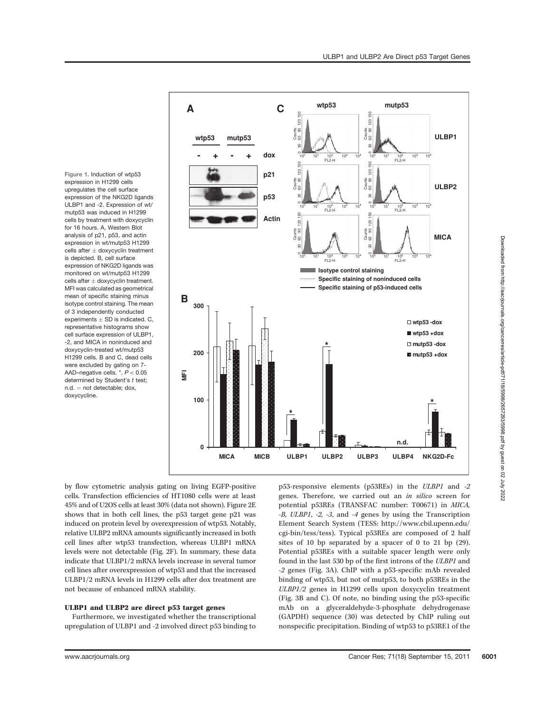Figure 1. Induction of wtp53 expression in H1299 cells upregulates the cell surface expression of the NKG2D ligands ULBP1 and -2. Expression of wt/ mutp53 was induced in H1299 cells by treatment with doxycyclin for 16 hours. A, Western Blot analysis of p21, p53, and actin expression in wt/mutp53 H1299 cells after  $\pm$  doxycyclin treatment is depicted. B, cell surface expression of NKG2D ligands was monitored on wt/mutp53 H1299 cells after  $\pm$  doxycyclin treatment. MFI was calculated as geometrical mean of specific staining minus isotype control staining. The mean of 3 independently conducted experiments  $+$  SD is indicated. C, representative histograms show cell surface expression of ULBP1, -2, and MICA in noninduced and doxycyclin-treated wt/mutp53 H1299 cells. B and C, dead cells were excluded by gating on 7- AAD–negative cells. \*, P < 0.05 determined by Student's t test;  $n.d. = not detectable; dox,$ doxycycline.



by flow cytometric analysis gating on living EGFP-positive cells. Transfection efficiencies of HT1080 cells were at least 45% and of U2OS cells at least 30% (data not shown). Figure 2E shows that in both cell lines, the p53 target gene p21 was induced on protein level by overexpression of wtp53. Notably, relative ULBP2 mRNA amounts significantly increased in both cell lines after wtp53 transfection, whereas ULBP1 mRNA levels were not detectable (Fig. 2F). In summary, these data indicate that ULBP1/2 mRNA levels increase in several tumor cell lines after overexpression of wtp53 and that the increased ULBP1/2 mRNA levels in H1299 cells after dox treatment are not because of enhanced mRNA stability.

# ULBP1 and ULBP2 are direct p53 target genes

Furthermore, we investigated whether the transcriptional upregulation of ULBP1 and -2 involved direct p53 binding to p53-responsive elements (p53REs) in the ULBP1 and -2 genes. Therefore, we carried out an in silico screen for potential p53REs (TRANSFAC number: T00671) in MICA, -B, ULBP1, -2, -3, and -4 genes by using the Transcription Element Search System (TESS: http://www.cbil.upenn.edu/ cgi-bin/tess/tess). Typical p53REs are composed of 2 half sites of 10 bp separated by a spacer of 0 to 21 bp (29). Potential p53REs with a suitable spacer length were only found in the last 530 bp of the first introns of the ULBP1 and -2 genes (Fig. 3A). ChIP with a p53-specific mAb revealed binding of wtp53, but not of mutp53, to both p53REs in the ULBP1/2 genes in H1299 cells upon doxycyclin treatment (Fig. 3B and C). Of note, no binding using the p53-specific mAb on a glyceraldehyde-3-phosphate dehydrogenase (GAPDH) sequence (30) was detected by ChIP ruling out nonspecific precipitation. Binding of wtp53 to p53RE1 of the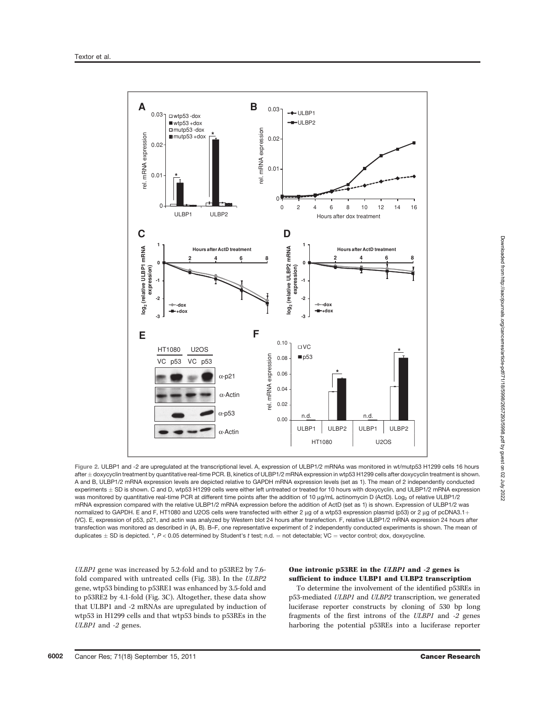

Figure 2. ULBP1 and -2 are upregulated at the transcriptional level. A, expression of ULBP1/2 mRNAs was monitored in wt/mutp53 H1299 cells 16 hours after ± doxycyclin treatment by quantitative real-time PCR. B, kinetics of ULBP1/2 mRNA expression in wtp53 H1299 cells after doxycyclin treatment is shown. A and B, ULBP1/2 mRNA expression levels are depicted relative to GAPDH mRNA expression levels (set as 1). The mean of 2 independently conducted experiments  $\pm$  SD is shown. C and D, wtp53 H1299 cells were either left untreated or treated for 10 hours with doxycyclin, and ULBP1/2 mRNA expression was monitored by quantitative real-time PCR at different time points after the addition of 10 µg/mL actinomycin D (ActD). Log<sub>2</sub> of relative ULBP1/2 mRNA expression compared with the relative ULBP1/2 mRNA expression before the addition of ActD (set as 1) is shown. Expression of ULBP1/2 was normalized to GAPDH. E and F, HT1080 and U2OS cells were transfected with either 2 µg of a wtp53 expression plasmid (p53) or 2 µg of pcDNA3.1+ (VC). E, expression of p53, p21, and actin was analyzed by Western blot 24 hours after transfection. F, relative ULBP1/2 mRNA expression 24 hours after transfection was monitored as described in (A, B). B–F, one representative experiment of 2 independently conducted experiments is shown. The mean of duplicates  $\pm$  SD is depicted. \*, P < 0.05 determined by Student's t test; n.d. = not detectable; VC = vector control; dox, doxycycline.

ULBP1 gene was increased by 5.2-fold and to p53RE2 by 7.6 fold compared with untreated cells (Fig. 3B). In the ULBP2 gene, wtp53 binding to p53RE1 was enhanced by 3.5-fold and to p53RE2 by 4.1-fold (Fig. 3C). Altogether, these data show that ULBP1 and -2 mRNAs are upregulated by induction of wtp53 in H1299 cells and that wtp53 binds to p53REs in the ULBP1 and -2 genes.

# One intronic p53RE in the ULBP1 and -2 genes is sufficient to induce ULBP1 and ULBP2 transcription

To determine the involvement of the identified p53REs in p53-mediated ULBP1 and ULBP2 transcription, we generated luciferase reporter constructs by cloning of 530 bp long fragments of the first introns of the ULBP1 and -2 genes harboring the potential p53REs into a luciferase reporter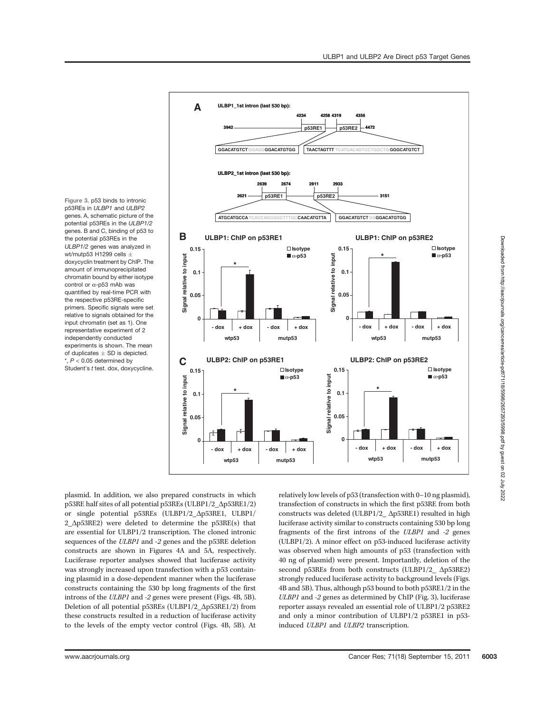Figure 3. p53 binds to intronic p53REs in ULBP1 and ULBP2 genes. A, schematic picture of the potential p53REs in the ULBP1/2 genes. B and C, binding of p53 to the potential p53REs in the ULBP1/2 genes was analyzed in wt/mutp53 H1299 cells  $\pm$ doxycyclin treatment by ChIP. The amount of immunoprecipitated chromatin bound by either isotype control or  $\alpha$ -p53 mAb was quantified by real-time PCR with the respective p53RE-specific primers. Specific signals were set relative to signals obtained for the input chromatin (set as 1). One representative experiment of 2 independently conducted experiments is shown. The mean of duplicates  $\pm$  SD is depicted.  $*, P < 0.05$  determined by Student's t test. dox, doxycycline.



Downloaded from http://aacrjournals.org/cancerres/article-pdf/71/18/5998/2657293/5998.pdf by guest on 02 July 2022 Downloaded from http://aacrjournals.org/cancerres/article-pdf/71/18/5998/2657293/5998.pdf by guest on 02 July 2022

plasmid. In addition, we also prepared constructs in which p53RE half sites of all potential p53REs (ULBP1/2\_ $\Delta$ p53RE1/2) or single potential p53REs (ULBP1/2\_Dp53RE1, ULBP1/ 2  $\Delta p53RE2$ ) were deleted to determine the p53RE(s) that are essential for ULBP1/2 transcription. The cloned intronic sequences of the ULBP1 and -2 genes and the p53RE deletion constructs are shown in Figures 4A and 5A, respectively. Luciferase reporter analyses showed that luciferase activity was strongly increased upon transfection with a p53 containing plasmid in a dose-dependent manner when the luciferase constructs containing the 530 bp long fragments of the first introns of the ULBP1 and -2 genes were present (Figs. 4B, 5B). Deletion of all potential p53REs (ULBP1/2\_∆p53RE1/2) from these constructs resulted in a reduction of luciferase activity to the levels of the empty vector control (Figs. 4B, 5B). At relatively low levels of p53 (transfection with 0–10 ng plasmid), transfection of constructs in which the first p53RE from both constructs was deleted (ULBP1/2\_ $\Delta$ p53RE1) resulted in high luciferase activity similar to constructs containing 530 bp long fragments of the first introns of the ULBP1 and -2 genes (ULBP1/2). A minor effect on p53-induced luciferase activity was observed when high amounts of p53 (transfection with 40 ng of plasmid) were present. Importantly, deletion of the second p53REs from both constructs (ULBP1/2\_ $\Delta$ p53RE2) strongly reduced luciferase activity to background levels (Figs. 4B and 5B). Thus, although p53 bound to both p53RE1/2 in the ULBP1 and -2 genes as determined by ChIP (Fig. 3), luciferase reporter assays revealed an essential role of ULBP1/2 p53RE2 and only a minor contribution of ULBP1/2 p53RE1 in p53 induced ULBP1 and ULBP2 transcription.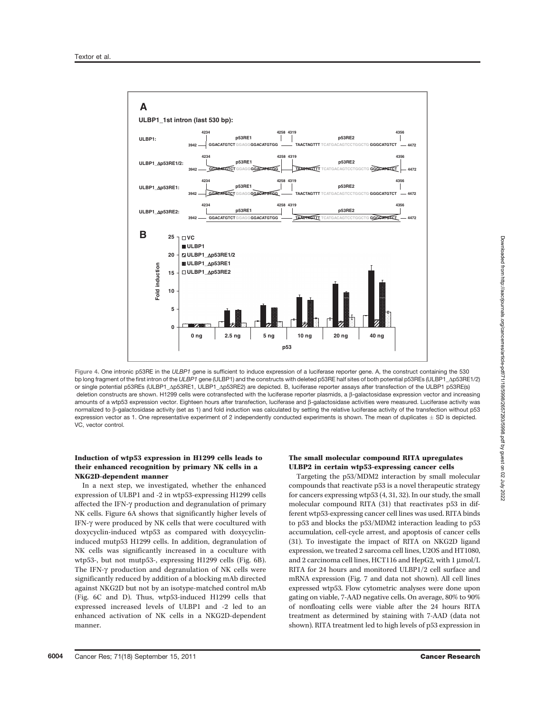

Figure 4. One intronic p53RE in the ULBP1 gene is sufficient to induce expression of a luciferase reporter gene. A, the construct containing the 530 bp long fragment of the first intron of the ULBP1 gene (ULBP1) and the constructs with deleted p53RE half sites of both potential p53REs (ULBP1\_Ap53RE1/2) or single potential p53REs (ULBP1\_Ap53RE1, ULBP1\_Ap53RE2) are depicted. B, luciferase reporter assays after transfection of the ULBP1 p53RE(s) deletion constructs are shown. H1299 cells were cotransfected with the luciferase reporter plasmids, a β-galactosidase expression vector and increasing amounts of a wtp53 expression vector. Eighteen hours after transfection, luciferase and b-galactosidase activities were measured. Luciferase activity was normalized to  $\beta$ -galactosidase activity (set as 1) and fold induction was calculated by setting the relative luciferase activity of the transfection without p53 expression vector as 1. One representative experiment of 2 independently conducted experiments is shown. The mean of duplicates  $\pm$  SD is depicted. VC, vector control.

## Induction of wtp53 expression in H1299 cells leads to their enhanced recognition by primary NK cells in a NKG2D-dependent manner

In a next step, we investigated, whether the enhanced expression of ULBP1 and -2 in wtp53-expressing H1299 cells affected the IFN- $\gamma$  production and degranulation of primary NK cells. Figure 6A shows that significantly higher levels of IFN-g were produced by NK cells that were cocultured with doxycyclin-induced wtp53 as compared with doxycyclininduced mutp53 H1299 cells. In addition, degranulation of NK cells was significantly increased in a coculture with wtp53-, but not mutp53-, expressing H1299 cells (Fig. 6B). The IFN- $\gamma$  production and degranulation of NK cells were significantly reduced by addition of a blocking mAb directed against NKG2D but not by an isotype-matched control mAb (Fig. 6C and D). Thus, wtp53-induced H1299 cells that expressed increased levels of ULBP1 and -2 led to an enhanced activation of NK cells in a NKG2D-dependent manner.

## The small molecular compound RITA upregulates ULBP2 in certain wtp53-expressing cancer cells

Targeting the p53/MDM2 interaction by small molecular compounds that reactivate p53 is a novel therapeutic strategy for cancers expressing wtp53 (4, 31, 32). In our study, the small molecular compound RITA (31) that reactivates p53 in different wtp53-expressing cancer cell lines was used. RITA binds to p53 and blocks the p53/MDM2 interaction leading to p53 accumulation, cell-cycle arrest, and apoptosis of cancer cells (31). To investigate the impact of RITA on NKG2D ligand expression, we treated 2 sarcoma cell lines, U2OS and HT1080, and 2 carcinoma cell lines, HCT116 and HepG2, with  $1 \mu$ mol/L RITA for 24 hours and monitored ULBP1/2 cell surface and mRNA expression (Fig. 7 and data not shown). All cell lines expressed wtp53. Flow cytometric analyses were done upon gating on viable, 7-AAD negative cells. On average, 80% to 90% of nonfloating cells were viable after the 24 hours RITA treatment as determined by staining with 7-AAD (data not shown). RITA treatment led to high levels of p53 expression in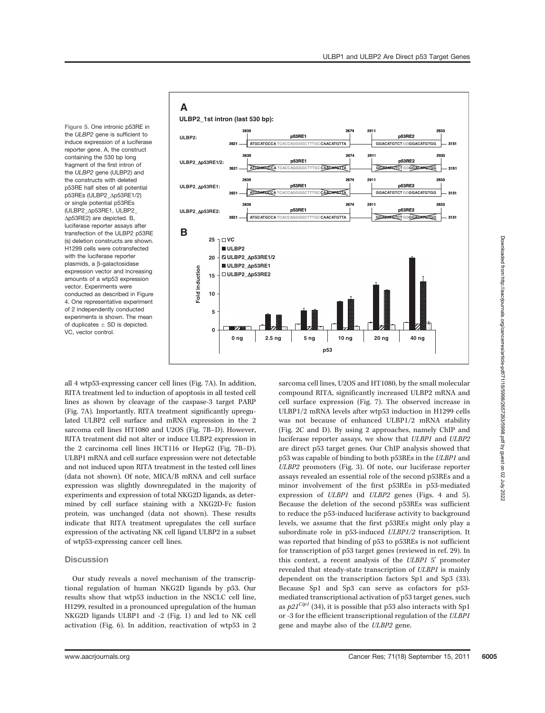Figure 5. One intronic p53RE in the ULBP2 gene is sufficient to induce expression of a luciferase reporter gene. A, the construct containing the 530 bp long fragment of the first intron of the ULBP2 gene (ULBP2) and the constructs with deleted p53RE half sites of all potential p53REs (ULBP2\_Ap53RE1/2) or single potential p53RFs (ULBP2\_Dp53RE1, ULBP2\_  $\Delta p53RE2$ ) are depicted. B, luciferase reporter assays after transfection of the ULBP2 p53RE (s) deletion constructs are shown. H1299 cells were cotransfected with the luciferase reporter plasmids, a  $\beta$ -galactosidase expression vector and increasing amounts of a wtp53 expression vector. Experiments were conducted as described in Figure 4. One representative experiment of 2 independently conducted experiments is shown. The mean of duplicates  $\pm$  SD is depicted. VC, vector control.



all 4 wtp53-expressing cancer cell lines (Fig. 7A). In addition, RITA treatment led to induction of apoptosis in all tested cell lines as shown by cleavage of the caspase-3 target PARP (Fig. 7A). Importantly, RITA treatment significantly upregulated ULBP2 cell surface and mRNA expression in the 2 sarcoma cell lines HT1080 and U2OS (Fig. 7B–D). However, RITA treatment did not alter or induce ULBP2 expression in the 2 carcinoma cell lines HCT116 or HepG2 (Fig. 7B–D). ULBP1 mRNA and cell surface expression were not detectable and not induced upon RITA treatment in the tested cell lines (data not shown). Of note, MICA/B mRNA and cell surface expression was slightly downregulated in the majority of experiments and expression of total NKG2D ligands, as determined by cell surface staining with a NKG2D-Fc fusion protein, was unchanged (data not shown). These results indicate that RITA treatment upregulates the cell surface expression of the activating NK cell ligand ULBP2 in a subset of wtp53-expressing cancer cell lines.

## **Discussion**

Our study reveals a novel mechanism of the transcriptional regulation of human NKG2D ligands by p53. Our results show that wtp53 induction in the NSCLC cell line, H1299, resulted in a pronounced upregulation of the human NKG2D ligands ULBP1 and -2 (Fig. 1) and led to NK cell activation (Fig. 6). In addition, reactivation of wtp53 in 2 sarcoma cell lines, U2OS and HT1080, by the small molecular compound RITA, significantly increased ULBP2 mRNA and cell surface expression (Fig. 7). The observed increase in ULBP1/2 mRNA levels after wtp53 induction in H1299 cells was not because of enhanced ULBP1/2 mRNA stability (Fig. 2C and D). By using 2 approaches, namely ChIP and luciferase reporter assays, we show that ULBP1 and ULBP2 are direct p53 target genes. Our ChIP analysis showed that p53 was capable of binding to both p53REs in the ULBP1 and ULBP2 promoters (Fig. 3). Of note, our luciferase reporter assays revealed an essential role of the second p53REs and a minor involvement of the first p53REs in p53-mediated expression of ULBP1 and ULBP2 genes (Figs. 4 and 5). Because the deletion of the second p53REs was sufficient to reduce the p53-induced luciferase activity to background levels, we assume that the first p53REs might only play a subordinate role in p53-induced ULBP1/2 transcription. It was reported that binding of p53 to p53REs is not sufficient for transcription of p53 target genes (reviewed in ref. 29). In this context, a recent analysis of the  $ULBP1 5'$  promoter revealed that steady-state transcription of ULBP1 is mainly dependent on the transcription factors Sp1 and Sp3 (33). Because Sp1 and Sp3 can serve as cofactors for p53 mediated transcriptional activation of p53 target genes, such as  $p2I^{Cip1}$  (34), it is possible that p53 also interacts with Sp1 or -3 for the efficient transcriptional regulation of the ULBP1 gene and maybe also of the ULBP2 gene.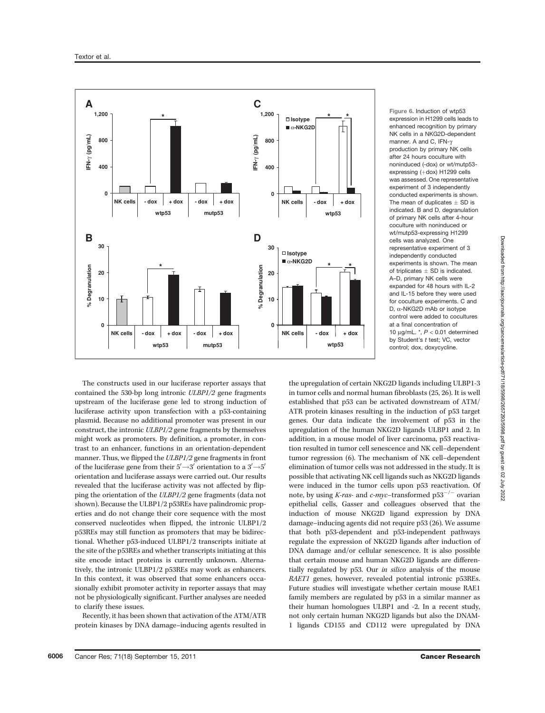

Figure 6. Induction of wtp53 expression in H1299 cells leads to enhanced recognition by primary NK cells in a NKG2D-dependent manner. A and C. IFN- $\nu$ production by primary NK cells after 24 hours coculture with noninduced (-dox) or wt/mutp53 expressing (+dox) H1299 cells was assessed. One representative experiment of 3 independently conducted experiments is shown. The mean of duplicates  $\pm$  SD is indicated. B and D, degranulation of primary NK cells after 4-hour coculture with noninduced or wt/mutp53-expressing H1299 cells was analyzed. One representative experiment of 3 independently conducted experiments is shown. The mean of triplicates  $\pm$  SD is indicated. A–D, primary NK cells were expanded for 48 hours with IL-2 and IL-15 before they were used for coculture experiments. C and D,  $\alpha$ -NKG2D mAb or isotype control were added to cocultures at a final concentration of 10  $\mu$ g/mL.  $\kappa$ ,  $P < 0.01$  determined by Student's t test; VC, vector control; dox, doxycycline.

The constructs used in our luciferase reporter assays that contained the 530-bp long intronic ULBP1/2 gene fragments upstream of the luciferase gene led to strong induction of luciferase activity upon transfection with a p53-containing plasmid. Because no additional promoter was present in our construct, the intronic ULBP1/2 gene fragments by themselves might work as promoters. By definition, a promoter, in contrast to an enhancer, functions in an orientation-dependent manner. Thus, we flipped the ULBP1/2 gene fragments in front of the luciferase gene from their  $5'\rightarrow 3'$  orientation to a  $3'\rightarrow 5'$ orientation and luciferase assays were carried out. Our results revealed that the luciferase activity was not affected by flipping the orientation of the ULBP1/2 gene fragments (data not shown). Because the ULBP1/2 p53REs have palindromic properties and do not change their core sequence with the most conserved nucleotides when flipped, the intronic ULBP1/2 p53REs may still function as promoters that may be bidirectional. Whether p53-induced ULBP1/2 transcripts initiate at the site of the p53REs and whether transcripts initiating at this site encode intact proteins is currently unknown. Alternatively, the intronic ULBP1/2 p53REs may work as enhancers. In this context, it was observed that some enhancers occasionally exhibit promoter activity in reporter assays that may not be physiologically significant. Further analyses are needed to clarify these issues.

Recently, it has been shown that activation of the ATM/ATR protein kinases by DNA damage–inducing agents resulted in

the upregulation of certain NKG2D ligands including ULBP1-3 in tumor cells and normal human fibroblasts (25, 26). It is well established that p53 can be activated downstream of ATM/ ATR protein kinases resulting in the induction of p53 target genes. Our data indicate the involvement of p53 in the upregulation of the human NKG2D ligands ULBP1 and 2. In addition, in a mouse model of liver carcinoma, p53 reactivation resulted in tumor cell senescence and NK cell–dependent tumor regression (6). The mechanism of NK cell–dependent elimination of tumor cells was not addressed in the study. It is possible that activating NK cell ligands such as NKG2D ligands were induced in the tumor cells upon p53 reactivation. Of note, by using *K-ras*- and *c-myc*-transformed  $p53^{-/-}$  ovarian epithelial cells, Gasser and colleagues observed that the induction of mouse NKG2D ligand expression by DNA damage–inducing agents did not require p53 (26). We assume that both p53-dependent and p53-independent pathways regulate the expression of NKG2D ligands after induction of DNA damage and/or cellular senescence. It is also possible that certain mouse and human NKG2D ligands are differentially regulated by p53. Our in silico analysis of the mouse RAET1 genes, however, revealed potential intronic p53REs. Future studies will investigate whether certain mouse RAE1 family members are regulated by p53 in a similar manner as their human homologues ULBP1 and -2. In a recent study, not only certain human NKG2D ligands but also the DNAM-1 ligands CD155 and CD112 were upregulated by DNA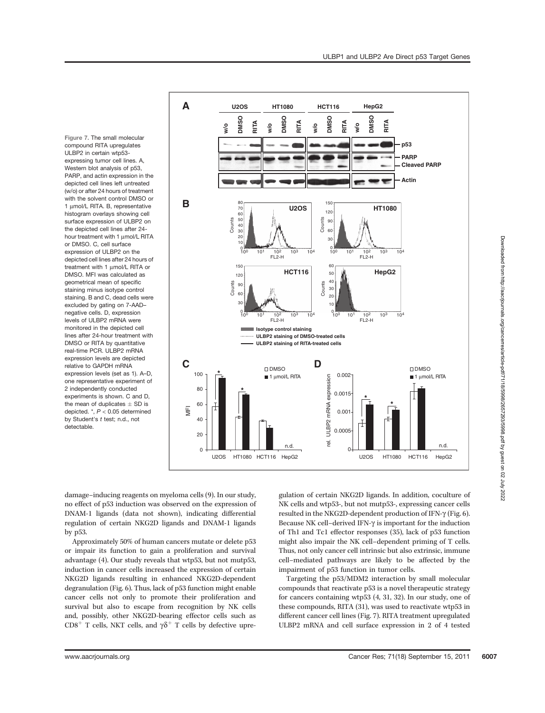Figure 7. The small molecular compound RITA upregulates ULBP2 in certain wtp53 expressing tumor cell lines. A, Western blot analysis of p53, PARP, and actin expression in the depicted cell lines left untreated (w/o) or after 24 hours of treatment with the solvent control DMSO or 1 µmol/L RITA. B, representative histogram overlays showing cell surface expression of ULBP2 on the depicted cell lines after 24 hour treatment with 1 umol/L RITA or DMSO. C, cell surface expression of ULBP2 on the depicted cell lines after 24 hours of treatment with 1 umol/L RITA or DMSO. MFI was calculated as geometrical mean of specific staining minus isotype control staining. B and C, dead cells were excluded by gating on 7-AAD– negative cells. D, expression levels of ULBP2 mRNA were monitored in the depicted cell lines after 24-hour treatment with DMSO or RITA by quantitative real-time PCR. ULBP2 mRNA expression levels are depicted relative to GAPDH mRNA expression levels (set as 1). A–D, one representative experiment of 2 independently conducted experiments is shown. C and D, the mean of duplicates  $\pm$  SD is depicted. \*, P < 0.05 determined by Student's t test; n.d., not detectable.



Downloaded from http://aacrjournals.org/cancerres/article-pdf/71/18/5998/2657293/5998.pdf by guest on 02 July 2022 Downloaded from http://aacrjournals.org/cancerres/article-pdf/71/18/5998/2657293/5998.pdf by guest on 02 July 2022

damage–inducing reagents on myeloma cells (9). In our study, no effect of p53 induction was observed on the expression of DNAM-1 ligands (data not shown), indicating differential regulation of certain NKG2D ligands and DNAM-1 ligands by p53.

Approximately 50% of human cancers mutate or delete p53 or impair its function to gain a proliferation and survival advantage (4). Our study reveals that wtp53, but not mutp53, induction in cancer cells increased the expression of certain NKG2D ligands resulting in enhanced NKG2D-dependent degranulation (Fig. 6). Thus, lack of p53 function might enable cancer cells not only to promote their proliferation and survival but also to escape from recognition by NK cells and, possibly, other NKG2D-bearing effector cells such as CD8<sup>+</sup> T cells, NKT cells, and  $\gamma\delta^+$  T cells by defective upre-

gulation of certain NKG2D ligands. In addition, coculture of NK cells and wtp53-, but not mutp53-, expressing cancer cells resulted in the NKG2D-dependent production of IFN-g (Fig. 6). Because NK cell–derived IFN- $\gamma$  is important for the induction of Th1 and Tc1 effector responses (35), lack of p53 function might also impair the NK cell–dependent priming of T cells. Thus, not only cancer cell intrinsic but also extrinsic, immune cell–mediated pathways are likely to be affected by the impairment of p53 function in tumor cells.

Targeting the p53/MDM2 interaction by small molecular compounds that reactivate p53 is a novel therapeutic strategy for cancers containing wtp53 (4, 31, 32). In our study, one of these compounds, RITA (31), was used to reactivate wtp53 in different cancer cell lines (Fig. 7). RITA treatment upregulated ULBP2 mRNA and cell surface expression in 2 of 4 tested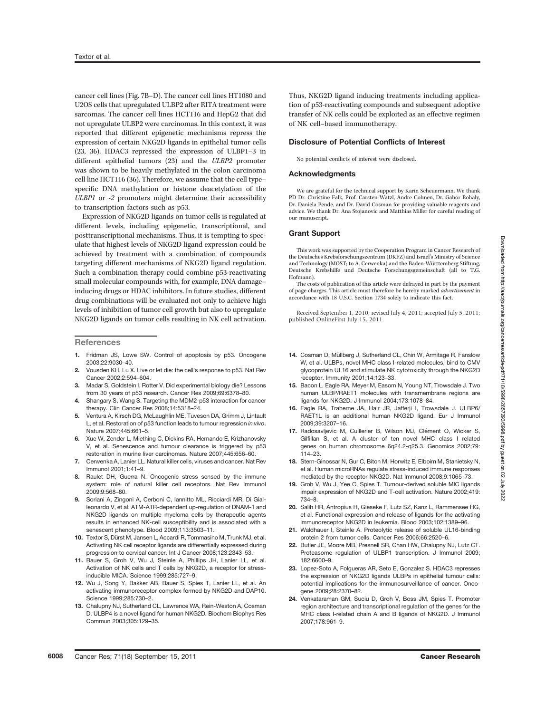cancer cell lines (Fig. 7B–D). The cancer cell lines HT1080 and U2OS cells that upregulated ULBP2 after RITA treatment were sarcomas. The cancer cell lines HCT116 and HepG2 that did not upregulate ULBP2 were carcinomas. In this context, it was reported that different epigenetic mechanisms repress the expression of certain NKG2D ligands in epithelial tumor cells (23, 36). HDAC3 repressed the expression of ULBP1–3 in different epithelial tumors (23) and the ULBP2 promoter was shown to be heavily methylated in the colon carcinoma cell line HCT116 (36). Therefore, we assume that the cell type– specific DNA methylation or histone deacetylation of the ULBP1 or -2 promoters might determine their accessibility to transcription factors such as p53.

Expression of NKG2D ligands on tumor cells is regulated at different levels, including epigenetic, transcriptional, and posttranscriptional mechanisms. Thus, it is tempting to speculate that highest levels of NKG2D ligand expression could be achieved by treatment with a combination of compounds targeting different mechanisms of NKG2D ligand regulation. Such a combination therapy could combine p53-reactivating small molecular compounds with, for example, DNA damage– inducing drugs or HDAC inhibitors. In future studies, different drug combinations will be evaluated not only to achieve high levels of inhibition of tumor cell growth but also to upregulate NKG2D ligands on tumor cells resulting in NK cell activation.

#### **References**

- 1. Fridman JS, Lowe SW. Control of apoptosis by p53. Oncogene 2003;22:9030–40.
- 2. Vousden KH, Lu X. Live or let die: the cell's response to p53. Nat Rev Cancer 2002;2:594–604.
- 3. Madar S, Goldstein I, Rotter V. Did experimental biology die? Lessons from 30 years of p53 research. Cancer Res 2009;69:6378–80.
- 4. Shangary S, Wang S. Targeting the MDM2-p53 interaction for cancer therapy. Clin Cancer Res 2008;14:5318–24.
- 5. Ventura A, Kirsch DG, McLaughlin ME, Tuveson DA, Grimm J, Lintault L, et al. Restoration of p53 function leads to tumour regression in vivo. Nature 2007;445:661–5.
- 6. Xue W, Zender L, Miething C, Dickins RA, Hernando E, Krizhanovsky V, et al. Senescence and tumour clearance is triggered by p53 restoration in murine liver carcinomas. Nature 2007;445:656–60.
- 7. Cerwenka A, Lanier LL. Natural killer cells, viruses and cancer. Nat Rev Immunol 2001;1:41–9.
- 8. Raulet DH, Guerra N. Oncogenic stress sensed by the immune system: role of natural killer cell receptors. Nat Rev Immunol 2009;9:568–80.
- 9. Soriani A, Zingoni A, Cerboni C, Iannitto ML, Ricciardi MR, Di Gialleonardo V, et al. ATM-ATR-dependent up-regulation of DNAM-1 and NKG2D ligands on multiple myeloma cells by therapeutic agents results in enhanced NK-cell susceptibility and is associated with a senescent phenotype. Blood 2009;113:3503–11.
- 10. Textor S, Dürst M, Jansen L, Accardi R, Tommasino M, Trunk MJ, et al. Activating NK cell receptor ligands are differentially expressed during progression to cervical cancer. Int J Cancer 2008;123:2343–53.
- 11. Bauer S, Groh V, Wu J, Steinle A, Phillips JH, Lanier LL, et al. Activation of NK cells and T cells by NKG2D, a receptor for stressinducible MICA. Science 1999;285:727–9.
- 12. Wu J, Song Y, Bakker AB, Bauer S, Spies T, Lanier LL, et al. An activating immunoreceptor complex formed by NKG2D and DAP10. Science 1999;285:730–2.
- 13. Chalupny NJ, Sutherland CL, Lawrence WA, Rein-Weston A, Cosman D. ULBP4 is a novel ligand for human NKG2D. Biochem Biophys Res Commun 2003;305:129–35.

Thus, NKG2D ligand inducing treatments including application of p53-reactivating compounds and subsequent adoptive transfer of NK cells could be exploited as an effective regimen of NK cell–based immunotherapy.

#### Disclosure of Potential Conflicts of Interest

No potential conflicts of interest were disclosed.

#### Acknowledgments

We are grateful for the technical support by Karin Scheuermann. We thank PD Dr. Christine Falk, Prof. Carsten Watzl, Andre Cohnen, Dr. Gabor Rohaly, Dr. Daniela Pende, and Dr. David Cosman for providing valuable reagents and advice. We thank Dr. Ana Stojanovic and Matthias Miller for careful reading of our manuscript.

#### Grant Support

This work was supported by the Cooperation Program in Cancer Research of the Deutsches Krebsforschungszentrum (DKFZ) and Israel's Ministry of Science and Technology (MOST; to A. Cerwenka) and the Baden-Württemberg Stiftung, Deutsche Krebshilfe und Deutsche Forschungsgemeinschaft (all to T.G. Hofmann).

The costs of publication of this article were defrayed in part by the payment of page charges. This article must therefore be hereby marked advertisement in accordance with 18 U.S.C. Section 1734 solely to indicate this fact.

Received September 1, 2010; revised July 4, 2011; accepted July 5, 2011; published OnlineFirst July 15, 2011.

- 14. Cosman D, Müllberg J, Sutherland CL, Chin W, Armitage R, Fanslow W, et al. ULBPs, novel MHC class I-related molecules, bind to CMV glycoprotein UL16 and stimulate NK cytotoxicity through the NKG2D receptor. Immunity 2001;14:123–33.
- 15. Bacon L, Eagle RA, Meyer M, Easom N, Young NT, Trowsdale J. Two human ULBP/RAET1 molecules with transmembrane regions are ligands for NKG2D. J Immunol 2004;173:1078–84.
- 16. Eagle RA, Traherne JA, Hair JR, Jafferji I, Trowsdale J. ULBP6/ RAET1L is an additional human NKG2D ligand. Eur J Immunol 2009;39:3207–16.
- 17. Radosavljevic M, Cuillerier B, Wilson MJ, Clément O, Wicker S, Gilfillan S, et al. A cluster of ten novel MHC class I related genes on human chromosome 6q24.2-q25.3. Genomics 2002;79: 114–23.
- 18. Stern-Ginossar N, Gur C, Biton M, Horwitz E, Elboim M, Stanietsky N, et al. Human microRNAs regulate stress-induced immune responses mediated by the receptor NKG2D. Nat Immunol 2008;9:1065–73.
- 19. Groh V, Wu J, Yee C, Spies T. Tumour-derived soluble MIC ligands impair expression of NKG2D and T-cell activation. Nature 2002;419: 734–8.
- 20. Salih HR, Antropius H, Gieseke F, Lutz SZ, Kanz L, Rammensee HG, et al. Functional expression and release of ligands for the activating immunoreceptor NKG2D in leukemia. Blood 2003;102:1389–96.
- 21. Waldhauer I, Steinle A. Proteolytic release of soluble UL16-binding protein 2 from tumor cells. Cancer Res 2006;66:2520–6.
- 22. Butler JE, Moore MB, Presnell SR, Chan HW, Chalupny NJ, Lutz CT. Proteasome regulation of ULBP1 transcription. J Immunol 2009; 182:6600–9.
- 23. Lopez-Soto A, Folgueras AR, Seto E, Gonzalez S. HDAC3 represses the expression of NKG2D ligands ULBPs in epithelial tumour cells: potential implications for the immunosurveillance of cancer. Oncogene 2009;28:2370–82.
- 24. Venkataraman GM, Suciu D, Groh V, Boss JM, Spies T. Promoter region architecture and transcriptional regulation of the genes for the MHC class I-related chain A and B ligands of NKG2D. J Immunol 2007;178:961–9.